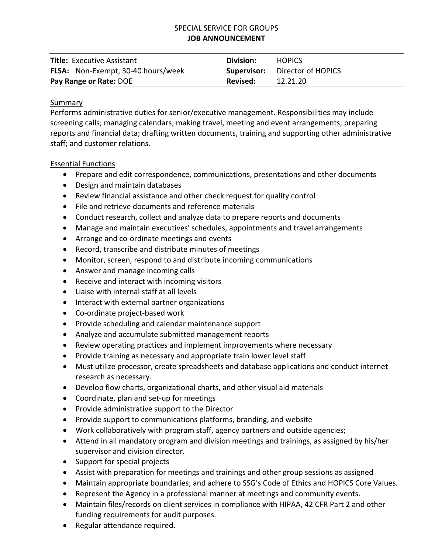# SPECIAL SERVICE FOR GROUPS **JOB ANNOUNCEMENT**

| <b>Title:</b> Executive Assistant         | Division: | <b>HOPICS</b>                         |
|-------------------------------------------|-----------|---------------------------------------|
| <b>FLSA:</b> Non-Exempt, 30-40 hours/week |           | <b>Supervisor:</b> Director of HOPICS |
| Pay Range or Rate: DOE                    | Revised:  | 12.21.20                              |

### Summary

Performs administrative duties for senior/executive management. Responsibilities may include screening calls; managing calendars; making travel, meeting and event arrangements; preparing reports and financial data; drafting written documents, training and supporting other administrative staff; and customer relations.

### Essential Functions

- Prepare and edit correspondence, communications, presentations and other documents
- Design and maintain databases
- Review financial assistance and other check request for quality control
- File and retrieve documents and reference materials
- Conduct research, collect and analyze data to prepare reports and documents
- Manage and maintain executives' schedules, appointments and travel arrangements
- Arrange and co-ordinate meetings and events
- Record, transcribe and distribute minutes of meetings
- Monitor, screen, respond to and distribute incoming communications
- Answer and manage incoming calls
- Receive and interact with incoming visitors
- Liaise with internal staff at all levels
- Interact with external partner organizations
- Co-ordinate project-based work
- Provide scheduling and calendar maintenance support
- Analyze and accumulate submitted management reports
- Review operating practices and implement improvements where necessary
- Provide training as necessary and appropriate train lower level staff
- Must utilize processor, create spreadsheets and database applications and conduct internet research as necessary.
- Develop flow charts, organizational charts, and other visual aid materials
- Coordinate, plan and set-up for meetings
- Provide administrative support to the Director
- Provide support to communications platforms, branding, and website
- Work collaboratively with program staff, agency partners and outside agencies;
- Attend in all mandatory program and division meetings and trainings, as assigned by his/her supervisor and division director.
- Support for special projects
- Assist with preparation for meetings and trainings and other group sessions as assigned
- Maintain appropriate boundaries; and adhere to SSG's Code of Ethics and HOPICS Core Values.
- Represent the Agency in a professional manner at meetings and community events.
- Maintain files/records on client services in compliance with HIPAA, 42 CFR Part 2 and other funding requirements for audit purposes.
- Regular attendance required.